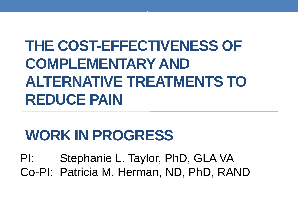# **THE COST-EFFECTIVENESS OF COMPLEMENTARY AND ALTERNATIVE TREATMENTS TO REDUCE PAIN**

.

#### **WORK IN PROGRESS**

PI: Stephanie L. Taylor, PhD, GLA VA Co-PI: Patricia M. Herman, ND, PhD, RAND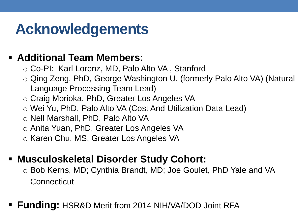#### **Acknowledgements**

#### **Additional Team Members:**

- o Co-PI: Karl Lorenz, MD, Palo Alto VA , Stanford
- o Qing Zeng, PhD, George Washington U. (formerly Palo Alto VA) (Natural Language Processing Team Lead)
- o Craig Morioka, PhD, Greater Los Angeles VA
- o Wei Yu, PhD, Palo Alto VA (Cost And Utilization Data Lead)
- o Nell Marshall, PhD, Palo Alto VA
- o Anita Yuan, PhD, Greater Los Angeles VA
- o Karen Chu, MS, Greater Los Angeles VA

#### **Musculoskeletal Disorder Study Cohort:**

- **Connecticut** o Bob Kerns, MD; Cynthia Brandt, MD; Joe Goulet, PhD Yale and VA
- **Funding:** HSR&D Merit from 2014 NIH/VA/DOD Joint RFA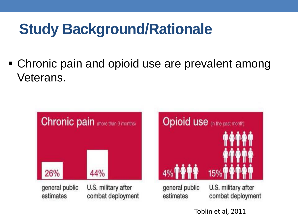Chronic pain and opioid use are prevalent among Veterans.



Toblin et al, 2011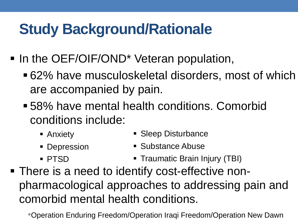- In the OEF/OIF/OND<sup>\*</sup> Veteran population,
	- are accompanied by pain. 62% have musculoskeletal disorders, most of which
	- 58% have mental health conditions. Comorbid conditions include:
		-
		- **Anxiety Sleep Disturbance**
		-
		- Depression Substance Abuse
		-
		- PTSD Traumatic Brain Injury (TBI)
- There is a need to identify cost-effective nonpharmacological approaches to addressing pain and comorbid mental health conditions.

\*Operation Enduring Freedom/Operation Iraqi Freedom/Operation New Dawn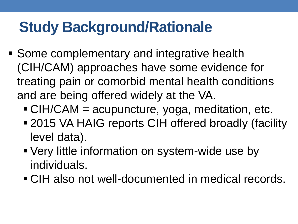- Some complementary and integrative health (CIH/CAM) approaches have some evidence for treating pain or comorbid mental health conditions and are being offered widely at the VA.
	- CIH/CAM = acupuncture, yoga, meditation, etc.
	- **-2015 VA HAIG reports CIH offered broadly (facility** level data).
	- Very little information on system-wide use by individuals.
	- CIH also not well-documented in medical records.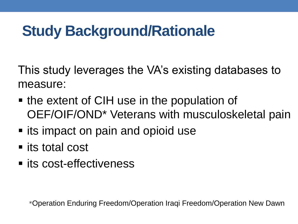This study leverages the VA's existing databases to measure:

- the extent of CIH use in the population of OEF/OIF/OND\* Veterans with musculoskeletal pain
- **Induck** its impact on pain and opioid use
- its total cost
- **In its cost-effectiveness**

\*Operation Enduring Freedom/Operation Iraqi Freedom/Operation New Dawn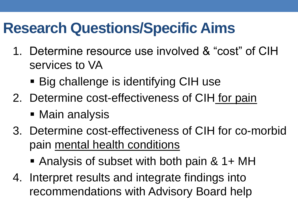#### **Research Questions/Specific Aims**

- services to VA 1. Determine resource use involved & "cost" of CIH
	- Big challenge is identifying CIH use
- 2. Determine cost-effectiveness of CIH for pain
	- Main analysis
- 3. Determine cost-effectiveness of CIH for co-morbid pain mental health conditions
	- Analysis of subset with both pain & 1+ MH
- 4. Interpret results and integrate findings into recommendations with Advisory Board help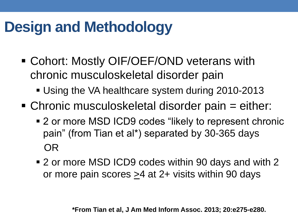### **Design and Methodology**

- Cohort: Mostly OIF/OEF/OND veterans with chronic musculoskeletal disorder pain
	- **Using the VA healthcare system during 2010-2013**
- Chronic musculoskeletal disorder pain = either:
	- pain" (from Tian et al\*) separated by 30-365 days ■ 2 or more MSD ICD9 codes "likely to represent chronic OR
	- 2 or more MSD ICD9 codes within 90 days and with 2 or more pain scores >4 at 2+ visits within 90 days

**\*From Tian et al, J Am Med Inform Assoc. 2013; 20:e275-e280.**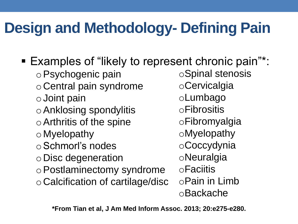## **Design and Methodology- Defining Pain**

 oAnklosing spondylitis o Schmorl's nodes o Postlaminectomy syndrome ■ Examples of "likely to represent chronic pain"\*: oPsychogenic pain o Central pain syndrome o Joint pain oArthritis of the spine o Myelopathy o Disc degeneration o Calcification of cartilage/disc oSpinal stenosis oCervicalgia oLumbago oFibrositis oFibromyalgia oMyelopathy oCoccydynia oNeuralgia oFaciitis oPain in Limb oBackache

**\*From Tian et al, J Am Med Inform Assoc. 2013; 20:e275-e280.**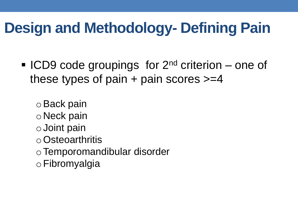### **Design and Methodology- Defining Pain**

**ICD9 code groupings for 2<sup>nd</sup> criterion** – one of these types of pain  $+$  pain scores  $>=$  4

oBack pain o Neck pain o Joint pain oOsteoarthritis oTemporomandibular disorder oFibromyalgia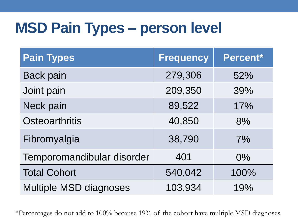#### **MSD Pain Types – person level**

| <b>Pain Types</b>             | <b>Frequency</b> | Percent* |
|-------------------------------|------------------|----------|
| <b>Back pain</b>              | 279,306          | 52%      |
| Joint pain                    | 209,350          | 39%      |
| Neck pain                     | 89,522           | 17%      |
| <b>Osteoarthritis</b>         | 40,850           | 8%       |
| Fibromyalgia                  | 38,790           | 7%       |
| Temporomandibular disorder    | 401              | $0\%$    |
| <b>Total Cohort</b>           | 540,042          | 100%     |
| <b>Multiple MSD diagnoses</b> | 103,934          | 19%      |

\*Percentages do not add to 100% because 19% of the cohort have multiple MSD diagnoses.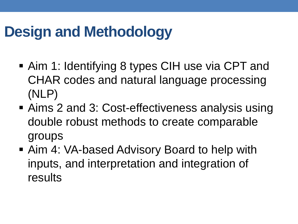### **Design and Methodology**

- Aim 1: Identifying 8 types CIH use via CPT and CHAR codes and natural language processing (NLP)
- **Aims 2 and 3: Cost-effectiveness analysis using** double robust methods to create comparable groups
- **Aim 4: VA-based Advisory Board to help with** inputs, and interpretation and integration of results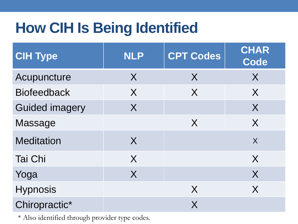## **How CIH Is Being Identified**

| <b>CIH Type</b>       | <b>NLP</b> | <b>CPT Codes</b> | <b>CHAR</b><br>Code |
|-----------------------|------------|------------------|---------------------|
| Acupuncture           | $\sf X$    | X                | X                   |
| <b>Biofeedback</b>    | X          | X                | X                   |
| <b>Guided imagery</b> | X          |                  | X                   |
| Massage               |            | $\sf X$          | X                   |
| <b>Meditation</b>     | X          |                  | $\overline{X}$      |
| <b>Tai Chi</b>        | X          |                  | X                   |
| Yoga                  | $\sf X$    |                  | X                   |
| <b>Hypnosis</b>       |            | X                | X                   |
| Chiropractic*         |            | X                |                     |

\* Also identified through provider type codes.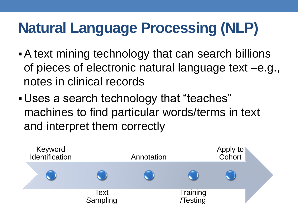# **Natural Language Processing (NLP)**

- A text mining technology that can search billions of pieces of electronic natural language text –e.g., notes in clinical records
- Uses a search technology that "teaches" machines to find particular words/terms in text and interpret them correctly

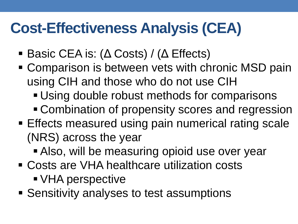#### **Cost-Effectiveness Analysis (CEA)**

- Basic CEA is: (Δ Costs) / (Δ Effects)
- **Comparison is between vets with chronic MSD pain** using CIH and those who do not use CIH
	- **Using double robust methods for comparisons**
	- **Combination of propensity scores and regression**
- **Effects measured using pain numerical rating scale** (NRS) across the year
	- Also, will be measuring opioid use over year
- Costs are VHA healthcare utilization costs VHA perspective
- **Sensitivity analyses to test assumptions**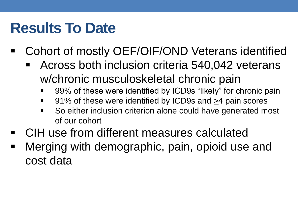#### **Results To Date**

- Cohort of mostly OEF/OIF/OND Veterans identified
	- Across both inclusion criteria 540,042 veterans w/chronic musculoskeletal chronic pain
		- 99% of these were identified by ICD9s "likely" for chronic pain
		- 91% of these were identified by ICD9s and  $\geq$ 4 pain scores
		- $\blacksquare$ So either inclusion criterion alone could have generated most of our cohort
- CIH use from different measures calculated
- cost data Merging with demographic, pain, opioid use and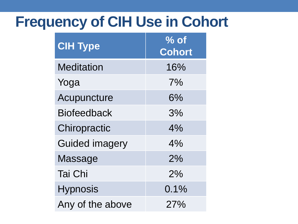#### **Frequency of CIH Use in Cohort**

| <b>CIH Type</b>       | $\sqrt{2}$ of<br>Cohort |
|-----------------------|-------------------------|
| <b>Meditation</b>     | 16%                     |
| Yoga                  | 7%                      |
| Acupuncture           | 6%                      |
| <b>Biofeedback</b>    | 3%                      |
| Chiropractic          | 4%                      |
| <b>Guided imagery</b> | 4%                      |
| Massage               | 2%                      |
| <b>Tai Chi</b>        | 2%                      |
| <b>Hypnosis</b>       | 0.1%                    |
| Any of the above      | 27%                     |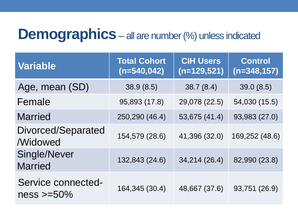#### **Demographics** – all are number (%) unless indicated

| <b>Variable</b>                       | <b>Total Cohort</b><br>$(n=540, 042)$ | <b>CIH Users</b><br>$(n=129,521)$ | <b>Control</b><br>$(n=348, 157)$ |
|---------------------------------------|---------------------------------------|-----------------------------------|----------------------------------|
| Age, mean (SD)                        | 38.9(8.5)                             | 38.7(8.4)                         | 39.0(8.5)                        |
| Female                                | 95,893 (17.8)                         | 29,078 (22.5)                     | 54,030 (15.5)                    |
| <b>Married</b>                        | 250,290 (46.4)                        | 53,675 (41.4)                     | 93,983 (27.0)                    |
| Divorced/Separated<br><b>Widowed</b>  | 154,579 (28.6)                        | 41,396 (32.0)                     | 169,252 (48.6)                   |
| Single/Never<br><b>Married</b>        | 132,843 (24.6)                        | 34,214 (26.4)                     | 82,990 (23.8)                    |
| Service connected-<br>$ness > = 50\%$ | 164,345 (30.4)                        | 48,667 (37.6)                     | 93,751 (26.9)                    |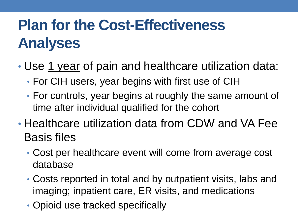# **Plan for the Cost-Effectiveness Analyses**

- Use 1 year of pain and healthcare utilization data:
	- For CIH users, year begins with first use of CIH
	- For controls, year begins at roughly the same amount of time after individual qualified for the cohort
- Healthcare utilization data from CDW and VA Fee Basis files
	- Cost per healthcare event will come from average cost database
	- Costs reported in total and by outpatient visits, labs and imaging; inpatient care, ER visits, and medications
	- Opioid use tracked specifically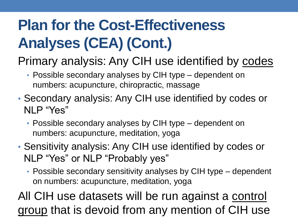# **Plan for the Cost-Effectiveness Analyses (CEA) (Cont.)**

#### Primary analysis: Any CIH use identified by codes

- Possible secondary analyses by CIH type dependent on numbers: acupuncture, chiropractic, massage
- Secondary analysis: Any CIH use identified by codes or NLP "Yes"
	- Possible secondary analyses by CIH type dependent on numbers: acupuncture, meditation, yoga
- Sensitivity analysis: Any CIH use identified by codes or NLP "Yes" or NLP "Probably yes"
	- Possible secondary sensitivity analyses by CIH type dependent on numbers: acupuncture, meditation, yoga

All CIH use datasets will be run against a control group that is devoid from any mention of CIH use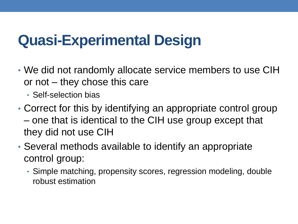#### **Quasi-Experimental Design**

- or not they chose this care • We did not randomly allocate service members to use CIH
	- Self-selection bias
- – one that is identical to the CIH use group except that • Correct for this by identifying an appropriate control group they did not use CIH
- Several methods available to identify an appropriate control group:
	- Simple matching, propensity scores, regression modeling, double robust estimation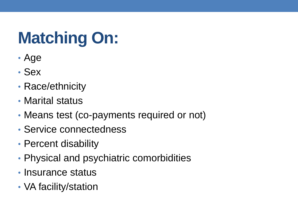# **Matching On:**

- Age
- Sex
- Race/ethnicity
- Marital status
- Means test (co-payments required or not)
- Service connectedness
- Percent disability
- Physical and psychiatric comorbidities
- Insurance status
- VA facility/station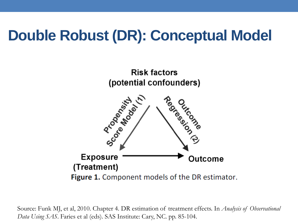### **Double Robust (DR): Conceptual Model**



**Exposure** Outcome (Treatment) Figure 1. Component models of the DR estimator.

 *Data Using SAS*. Faries et al (eds). SAS Institute: Cary, NC. pp. 85-104. Source: Funk MJ, et al, 2010. Chapter 4. DR estimation of treatment effects. In *Analysis of Observational*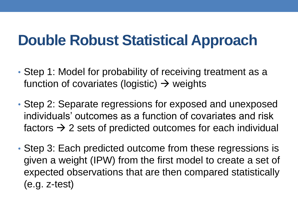#### **Double Robust Statistical Approach**

- Step 1: Model for probability of receiving treatment as a function of covariates (logistic)  $\rightarrow$  weights
- Step 2: Separate regressions for exposed and unexposed individuals' outcomes as a function of covariates and risk factors  $\rightarrow$  2 sets of predicted outcomes for each individual
- Step 3: Each predicted outcome from these regressions is given a weight (IPW) from the first model to create a set of expected observations that are then compared statistically (e.g. z-test)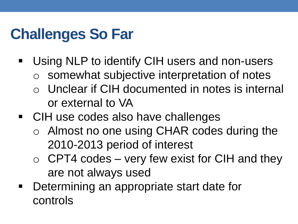# **Challenges So Far**

- $\blacksquare$ Using NLP to identify CIH users and non-users
	- $\circ$  somewhat subjective interpretation of notes
	- $\circ$  Unclear if CIH documented in notes is internal or external to VA
- **CIH use codes also have challenges** 
	- $\circ$  Almost no one using CHAR codes during the 2010-2013 period of interest
	- $\circ$  CPT4 codes very few exist for CIH and they are not always used
- Determining an appropriate start date for controls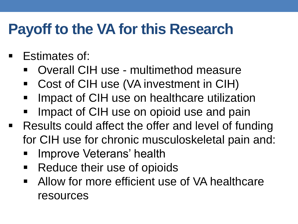#### **Payoff to the VA for this Research**

- Estimates of:
	- Overall CIH use - multimethod measure
	- Cost of CIH use (VA investment in CIH)
	- Impact of CIH use on healthcare utilization
	- Impact of CIH use on opioid use and pain
- **Results could affect the offer and level of funding** for CIH use for chronic musculoskeletal pain and:
	- Improve Veterans' health
	- $\blacksquare$ Reduce their use of opioids
	- Allow for more efficient use of VA healthcare resources